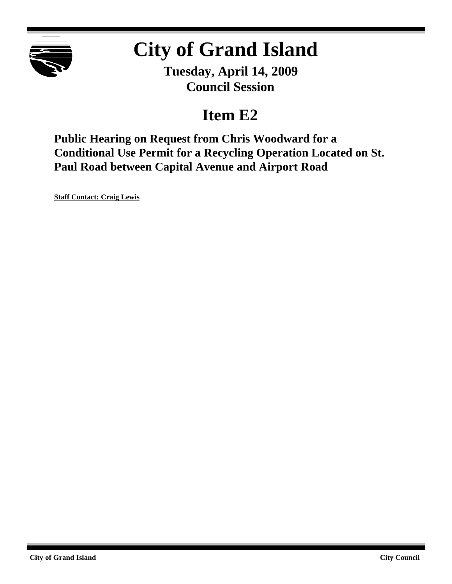

# **City of Grand Island**

**Tuesday, April 14, 2009 Council Session**

# **Item E2**

**Public Hearing on Request from Chris Woodward for a Conditional Use Permit for a Recycling Operation Located on St. Paul Road between Capital Avenue and Airport Road**

**Staff Contact: Craig Lewis**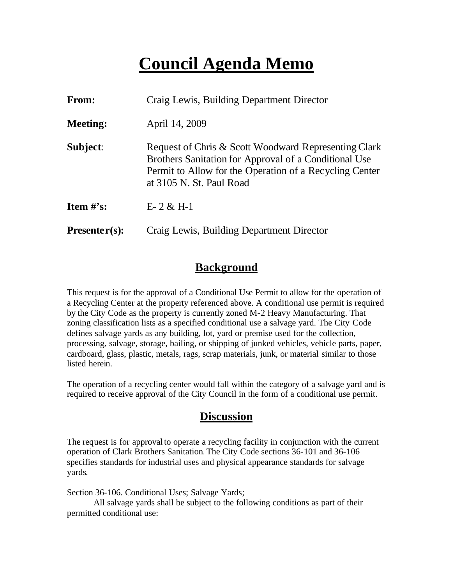# **Council Agenda Memo**

| <b>From:</b>    | Craig Lewis, Building Department Director                                                                                                                                                            |
|-----------------|------------------------------------------------------------------------------------------------------------------------------------------------------------------------------------------------------|
| <b>Meeting:</b> | April 14, 2009                                                                                                                                                                                       |
| Subject:        | Request of Chris & Scott Woodward Representing Clark<br>Brothers Sanitation for Approval of a Conditional Use<br>Permit to Allow for the Operation of a Recycling Center<br>at 3105 N. St. Paul Road |
| Item $#$ 's:    | $E-2 & H-1$                                                                                                                                                                                          |
| $Presenter(s):$ | Craig Lewis, Building Department Director                                                                                                                                                            |

#### **Background**

This request is for the approval of a Conditional Use Permit to allow for the operation of a Recycling Center at the property referenced above. A conditional use permit is required by the City Code as the property is currently zoned M-2 Heavy Manufacturing. That zoning classification lists as a specified conditional use a salvage yard. The City Code defines salvage yards as any building, lot, yard or premise used for the collection, processing, salvage, storage, bailing, or shipping of junked vehicles, vehicle parts, paper, cardboard, glass, plastic, metals, rags, scrap materials, junk, or material similar to those listed herein.

The operation of a recycling center would fall within the category of a salvage yard and is required to receive approval of the City Council in the form of a conditional use permit.

#### **Discussion**

The request is for approval to operate a recycling facility in conjunction with the current operation of Clark Brothers Sanitation. The City Code sections 36-101 and 36-106 specifies standards for industrial uses and physical appearance standards for salvage yards.

Section 36-106. Conditional Uses; Salvage Yards;

All salvage yards shall be subject to the following conditions as part of their permitted conditional use: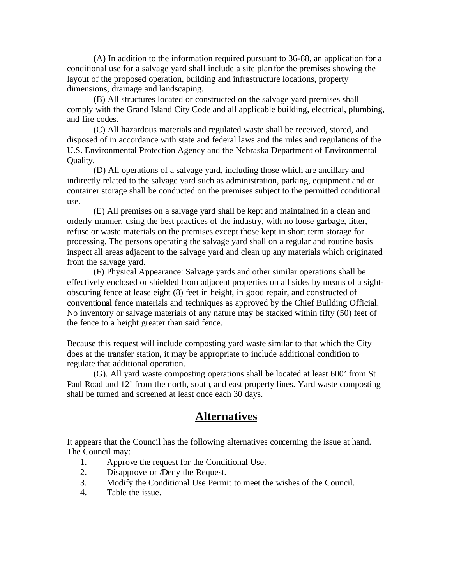(A) In addition to the information required pursuant to 36-88, an application for a conditional use for a salvage yard shall include a site plan for the premises showing the layout of the proposed operation, building and infrastructure locations, property dimensions, drainage and landscaping.

(B) All structures located or constructed on the salvage yard premises shall comply with the Grand Island City Code and all applicable building, electrical, plumbing, and fire codes.

(C) All hazardous materials and regulated waste shall be received, stored, and disposed of in accordance with state and federal laws and the rules and regulations of the U.S. Environmental Protection Agency and the Nebraska Department of Environmental Quality.

(D) All operations of a salvage yard, including those which are ancillary and indirectly related to the salvage yard such as administration, parking, equipment and or container storage shall be conducted on the premises subject to the permitted conditional use.

(E) All premises on a salvage yard shall be kept and maintained in a clean and orderly manner, using the best practices of the industry, with no loose garbage, litter, refuse or waste materials on the premises except those kept in short term storage for processing. The persons operating the salvage yard shall on a regular and routine basis inspect all areas adjacent to the salvage yard and clean up any materials which originated from the salvage yard.

(F) Physical Appearance: Salvage yards and other similar operations shall be effectively enclosed or shielded from adjacent properties on all sides by means of a sightobscuring fence at lease eight (8) feet in height, in good repair, and constructed of conventional fence materials and techniques as approved by the Chief Building Official. No inventory or salvage materials of any nature may be stacked within fifty (50) feet of the fence to a height greater than said fence.

Because this request will include composting yard waste similar to that which the City does at the transfer station, it may be appropriate to include additional condition to regulate that additional operation.

(G). All yard waste composting operations shall be located at least 600' from St Paul Road and 12' from the north, south, and east property lines. Yard waste composting shall be turned and screened at least once each 30 days.

#### **Alternatives**

It appears that the Council has the following alternatives concerning the issue at hand. The Council may:

- 1. Approve the request for the Conditional Use.
- 2. Disapprove or /Deny the Request.
- 3. Modify the Conditional Use Permit to meet the wishes of the Council.
- 4. Table the issue.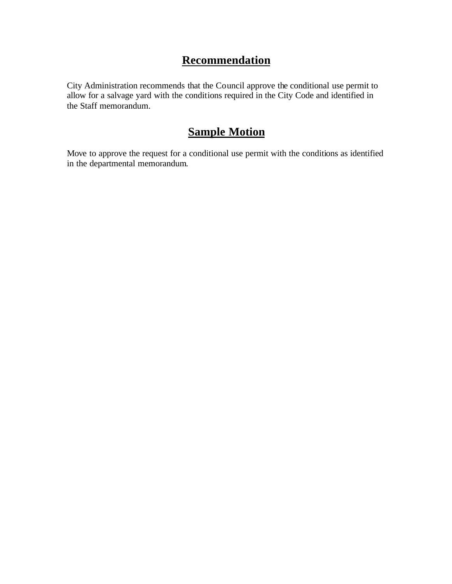### **Recommendation**

City Administration recommends that the Council approve the conditional use permit to allow for a salvage yard with the conditions required in the City Code and identified in the Staff memorandum.

## **Sample Motion**

Move to approve the request for a conditional use permit with the conditions as identified in the departmental memorandum.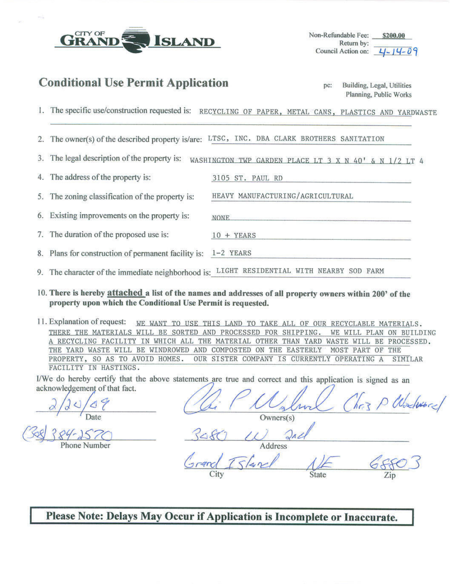

Non-Refundable Fee: Return by: Council Action on:

#### **Conditional Use Permit Application**

| pc: | Building, Legal, Utilities |
|-----|----------------------------|
|     | Planning, Public Works     |

- 1. The specific use/construction requested is: RECYCLING OF PAPER, METAL CANS, PLASTICS AND YARDWASTE
- 2. The owner(s) of the described property is/are: LTSC, INC. DBA CLARK BROTHERS SANITATION
- The legal description of the property is: WASHINGTON TWP GARDEN PLACE LT 3 X N 40' & N 1/2 LT 4 3.

3105 ST. PAUL RD

HEAVY MANUFACTURING/AGRICULTURAL

The address of the property is: 4.

The zoning classification of the property is: 5.

Existing improvements on the property is: 6. **NONE** 

The duration of the proposed use is: 7.  $10 + **YEARS**$ 

- 8. Plans for construction of permanent facility is: 1-2 YEARS
- 9. The character of the immediate neighborhood is: LIGHT RESIDENTIAL WITH NEARBY SOD FARM
- 10. There is hereby attached a list of the names and addresses of all property owners within 200' of the property upon which the Conditional Use Permit is requested.

11. Explanation of request: WE WANT TO USE THIS LAND TO TAKE ALL OF OUR RECYCLABLE MATERIALS. THERE THE MATERIALS WILL BE SORTED AND PROCESSED FOR SHIPPING. WE WILL PLAN ON BUILDING A RECYCLING FACILITY IN WHICH ALL THE MATERIAL OTHER THAN YARD WASTE WILL BE PROCESSED. THE YARD WASTE WILL BE WINDROWED AND COMPOSTED ON THE EASTERLY MOST PART OF THE PROPERTY, SO AS TO AVOID HOMES. OUR SISTER COMPANY IS CURRENTLY OPERATING A **STMTLAR** FACILITY IN HASTINGS.

I/We do hereby certify that the above statements are true and correct and this application is signed as an acknowledgement of that fact.

 $Owners(s)$ 

Please Note: Delays May Occur if Application is Incomplete or Inaccurate.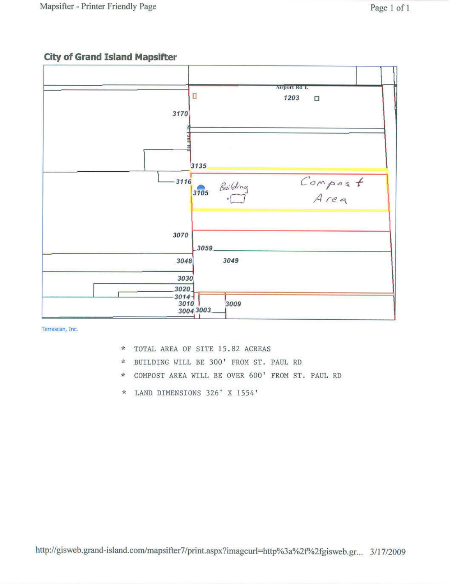## **City of Grand Island Mapsifter**



Terrascan, Inc.

- $\star$ TOTAL AREA OF SITE 15.82 ACREAS
- BUILDING WILL BE 300' FROM ST. PAUL RD  $\star$
- COMPOST AREA WILL BE OVER 600' FROM ST. PAUL RD  $\star$
- LAND DIMENSIONS 326' X 1554'  $\frac{1}{N}$